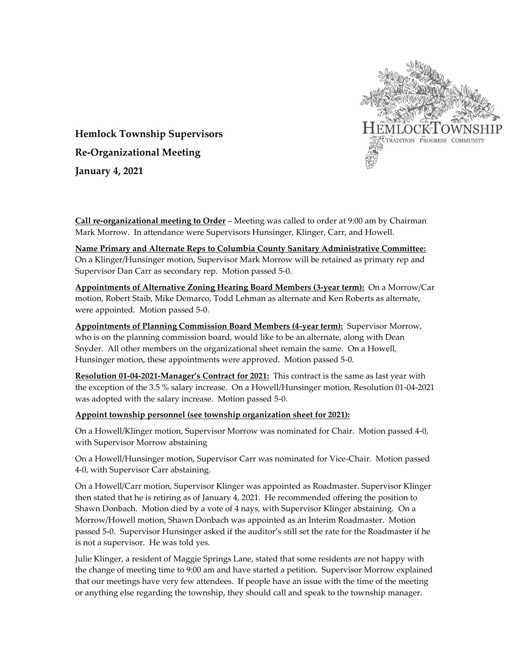

**Hemlock Township Supervisors Re-Organizational Meeting January 4, 2021**

**Call re-organizational meeting to Order** – Meeting was called to order at 9:00 am by Chairman Mark Morrow. In attendance were Supervisors Hunsinger, Klinger, Carr, and Howell.

**Name Primary and Alternate Reps to Columbia County Sanitary Administrative Committee:** On a Klinger/Hunsinger motion, Supervisor Mark Morrow will be retained as primary rep and Supervisor Dan Carr as secondary rep. Motion passed 5-0.

**Appointments of Alternative Zoning Hearing Board Members (3-year term):** On a Morrow/Car motion, Robert Staib, Mike Demarco, Todd Lehman as alternate and Ken Roberts as alternate, were appointed. Motion passed 5-0.

**Appointments of Planning Commission Board Members (4-year term):** Supervisor Morrow, who is on the planning commission board, would like to be an alternate, along with Dean Snyder. All other members on the organizational sheet remain the same. On a Howell, Hunsinger motion, these appointments were approved. Motion passed 5-0.

**Resolution 01-04-2021-Manager's Contract for 2021:** This contract is the same as last year with the exception of the 3.5 % salary increase. On a Howell/Hunsinger motion, Resolution 01-04-2021 was adopted with the salary increase. Motion passed 5-0.

## **Appoint township personnel (see township organization sheet for 2021):**

On a Howell/Klinger motion, Supervisor Morrow was nominated for Chair. Motion passed 4-0, with Supervisor Morrow abstaining

On a Howell/Hunsinger motion, Supervisor Carr was nominated for Vice-Chair. Motion passed 4-0, with Supervisor Carr abstaining.

On a Howell/Carr motion, Supervisor Klinger was appointed as Roadmaster. Supervisor Klinger then stated that he is retiring as of January 4, 2021. He recommended offering the position to Shawn Donbach. Motion died by a vote of 4 nays, with Supervisor Klinger abstaining. On a Morrow/Howell motion, Shawn Donbach was appointed as an Interim Roadmaster. Motion passed 5-0. Supervisor Hunsinger asked if the auditor's still set the rate for the Roadmaster if he is not a supervisor. He was told yes.

Julie Klinger, a resident of Maggie Springs Lane, stated that some residents are not happy with the change of meeting time to 9:00 am and have started a petition. Supervisor Morrow explained that our meetings have very few attendees. If people have an issue with the time of the meeting or anything else regarding the township, they should call and speak to the township manager.